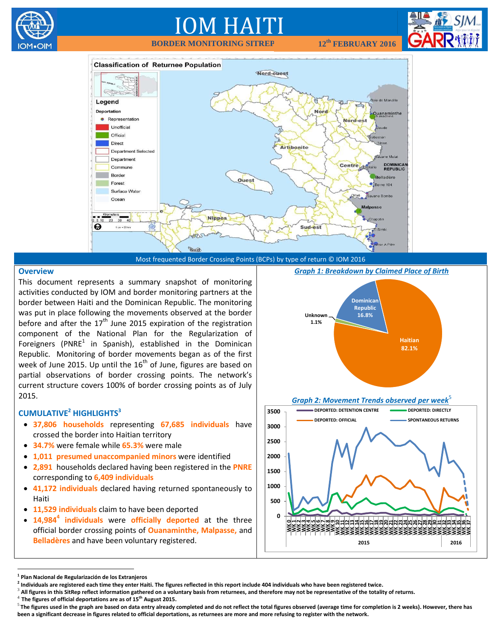

# IOM HAITI

**BORDER MONITORING SITREP 12th FEBRUARY 2016**





**Overview**

This document represents a summary snapshot of monitoring activities conducted by IOM and border monitoring partners at the border between Haiti and the Dominican Republic. The monitoring was put in place following the movements observed at the border before and after the  $17<sup>th</sup>$  June 2015 expiration of the registration component of the National Plan for the Regularization of Foreigners (PNRE $^1$  in Spanish), established in the Dominican Republic. Monitoring of border movements began as of the first week of June 2015. Up until the  $16^{th}$  of June, figures are based on partial observations of border crossing points. The network's current structure covers 100% of border crossing points as of July 2015.

#### **CUMULATIVE<sup>2</sup> HIGHLIGHTS<sup>3</sup>**

- **37,806 households** representing **67,685 individuals** have crossed the border into Haitian territory
- **34.7%** were female while **65.3%** were male
- **1,011 presumed unaccompanied minors** were identified
- **2,891** households declared having been registered in the **PNRE**  corresponding to **6,409 individuals**
- **41,172 individuals** declared having returned spontaneously to Haiti
- **11,529 individuals** claim to have been deported
- **14,984<sup>4</sup> individuals** were **officially deported** at the three official border crossing points of **Ouanaminthe, Malpasse,** and **Belladères** and have been voluntary registered.

*Graph 1: Breakdown by Claimed Place of Birth*



**Graph 2: Movement Trends observed per week** 



 $\overline{a}$ 

4 **The figures of official deportations are as of 15th August 2015.**

**<sup>1</sup> Plan Nacional de Regularización de los Extranjeros**

**<sup>2</sup> Individuals are registered each time they enter Haiti. The figures reflected in this report include 404 individuals who have been registered twice.**

<sup>&</sup>lt;sup>3</sup> All figures in this SitRep reflect information gathered on a voluntary basis from returnees, and therefore may not be representative of the totality of returns.

<sup>5</sup> **The figures used in the graph are based on data entry already completed and do not reflect the total figures observed (average time for completion is 2 weeks). However, there has been a significant decrease in figures related to official deportations, as returnees are more and more refusing to register with the network.**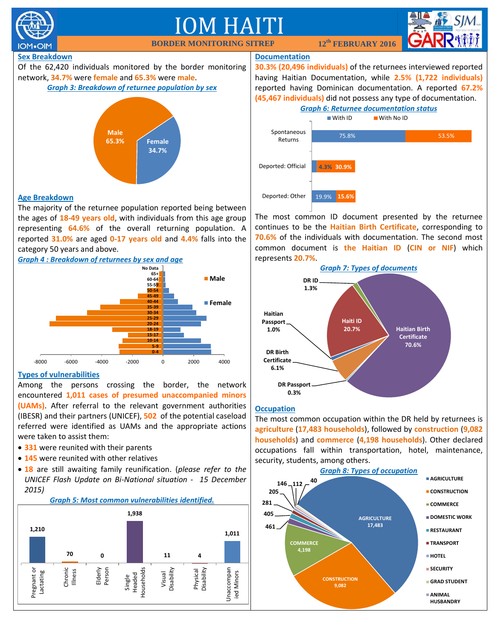



Among the persons crossing the border, the network encountered **1,011 cases of presumed unaccompanied minors (UAMs)**. After referral to the relevant government authorities (IBESR) and their partners (UNICEF), **502** of the potential caseload referred were identified as UAMs and the appropriate actions were taken to assist them:

- **331** were reunited with their parents
- **145** were reunited with other relatives
- **18** are still awaiting family reunification. (*please refer to the UNICEF Flash Update on Bi-National situation - 15 December 2015)*



#### **Occupation**

**DR Passport 0.3%**

**Haitian Passport 1.0%**

**DR Birth Certificate 6.1%**

The most common occupation within the DR held by returnees is **agriculture** (**17,483 households**), followed by **construction** (**9,082 households**) and **commerce** (**4,198 households**). Other declared occupations fall within transportation, hotel, maintenance, security, students, among others.

**Haiti ID 20.7%**

**Haitian Birth Certificate 70.6%**

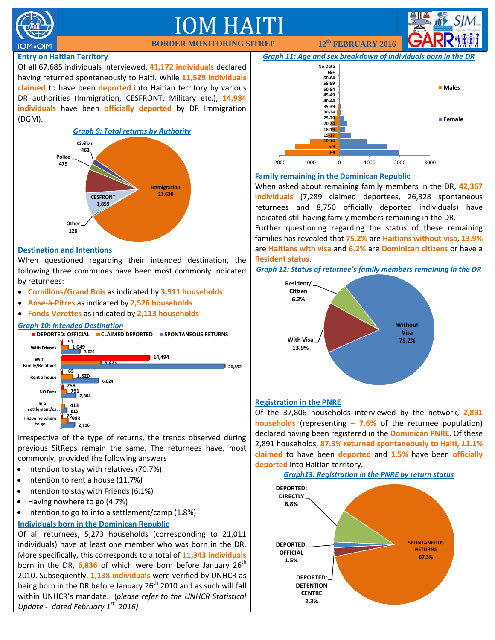

# M HA

#### **Entry on Haitian Territory**

Of all 67,685 individuals interviewed, **41,172 individuals** declared having returned spontaneously to Haiti. While **11,529 individuals claimed** to have been **deported** into Haitian territory by various DR authorities (Immigration, CESFRONT, Military etc.), **14,984 individuals** have been **officially deported** by DR Immigration (DGM).



#### **Destination and Intentions**

When questioned regarding their intended destination, the following three communes have been most commonly indicated by returnees:

- **Cornillons/Grand Bois** as indicated by **3,911 households**
- **Anse-à-Pitres** as indicated by **2,526 households**
- **Fonds-Verettes** as indicated by **2,113 households**

#### *Graph 10: Intended Destination*



Irrespective of the type of returns, the trends observed during previous SitReps remain the same. The returnees have, most commonly, provided the following answers

- Intention to stay with relatives (70.7%).
- Intention to rent a house (11.7%)
- $\bullet$  Intention to stay with Friends (6.1%)
- Having nowhere to go (4.7%)
- $\bullet$  Intention to go to into a settlement/camp (1.8%)

#### **Individuals born in the Dominican Republic**

Of all returnees, 5,273 households (corresponding to 21,011 individuals) have at least one member who was born in the DR. More specifically, this corresponds to a total of **11,343 individuals** born in the DR, 6,836 of which were born before January 26<sup>th</sup> 2010. Subsequently, **1,138 individuals** were verified by UNHCR as being born in the DR before January 26<sup>th</sup> 2010 and as such will fall within UNHCR's mandate. (*please refer to the UNHCR Statistical Update - dated February 1st 2016)*



**BORDER MONITORING SITREP 12th FEBRUARY 2016**

#### **Family remaining in the Dominican Republic**

When asked about remaining family members in the DR, **42,367 individuals** (7,289 claimed deportees, 26,328 spontaneous returnees and 8,750 officially deported individuals) have indicated still having family members remaining in the DR.

Further questioning regarding the status of these remaining families has revealed that **75.2%** are **Haitians without visa**, **13.9%** are **Haitians with visa** and **6.2%** are **Dominican citizens** or have a **Resident status**.

*Graph 12: Status of returnee's family members remaining in the DR*



#### **Registration in the PNRE**

Of the 37,806 households interviewed by the network, **2,891 households** (representing **– 7.6%** of the returnee population) declared having been registered in the **Dominican PNRE**. Of these 2,891 households, **87.3% returned spontaneously to Haiti, 11.1% claimed** to have been **deported** and **1.5%** have been **officially deported** into Haitian territory.

*Graph13: Registration in the PNRE by return status*

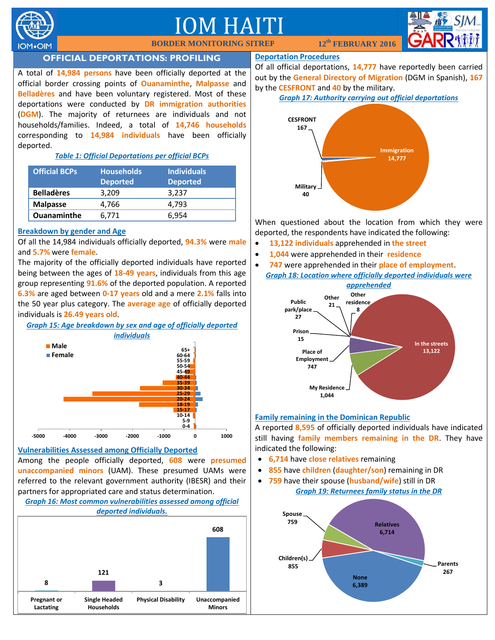

## IM HA



### **OFFICIAL DEPORTATIONS: PROFILING**

A total of **14,984 persons** have been officially deported at the official border crossing points of **Ouanaminthe**, **Malpasse** and **Belladères** and have been voluntary registered. Most of these deportations were conducted by **DR immigration authorities** (**DGM**). The majority of returnees are individuals and not households/families. Indeed, a total of **14,746 households** corresponding to **14,984 individuals** have been officially deported.

#### *Table 1: Official Deportations per official BCPs*

| <b>Official BCPs</b> | <b>Households</b><br><b>Deported</b> | <b>Individuals</b><br><b>Deported</b> |
|----------------------|--------------------------------------|---------------------------------------|
| <b>Belladères</b>    | 3.209                                | 3.237                                 |
| <b>Malpasse</b>      | 4,766                                | 4.793                                 |
| <b>Ouanaminthe</b>   | 6.771                                | 6.954                                 |

#### **Breakdown by gender and Age**

Of all the 14,984 individuals officially deported, **94.3%** were **male** and **5.7%** were **female**.

The majority of the officially deported individuals have reported being between the ages of **18-49 years**, individuals from this age group representing **91.6%** of the deported population. A reported **6.3%** are aged between **0-17 years** old and a mere **2.1%** falls into the 50 year plus category. The **average age** of officially deported individuals is **26.49 years old**.



### **Vulnerabilities Assessed among Officially Deported**

Among the people officially deported, **608** were **presumed unaccompanied minors** (UAM). These presumed UAMs were referred to the relevant government authority (IBESR) and their partners for appropriated care and status determination.

#### *Graph 16: Most common vulnerabilities assessed among official deported individuals.*



#### **Deportation Procedures**

Of all official deportations, **14,777** have reportedly been carried out by the **General Directory of Migration** (DGM in Spanish), **167** by the **CESFRONT** and **40** by the military.

#### *Graph 17: Authority carrying out official deportations*



When questioned about the location from which they were deported, the respondents have indicated the following:

- **13,122 individuals** apprehended in **the street**
- **1,044** were apprehended in their **residence**
- **747** were apprehended in their **place of employment**. *Graph 18: Location where officially deported individuals were*



#### **Family remaining in the Dominican Republic**

A reported **8,595** of officially deported individuals have indicated still having **family members remaining in the DR**. They have indicated the following:

- **6,714** have **close relatives** remaining
- **855** have **children** (**daughter/son**) remaining in DR
- **759** have their spouse (**husband/wife**) still in DR *Graph 19: Returnees family status in the DR*